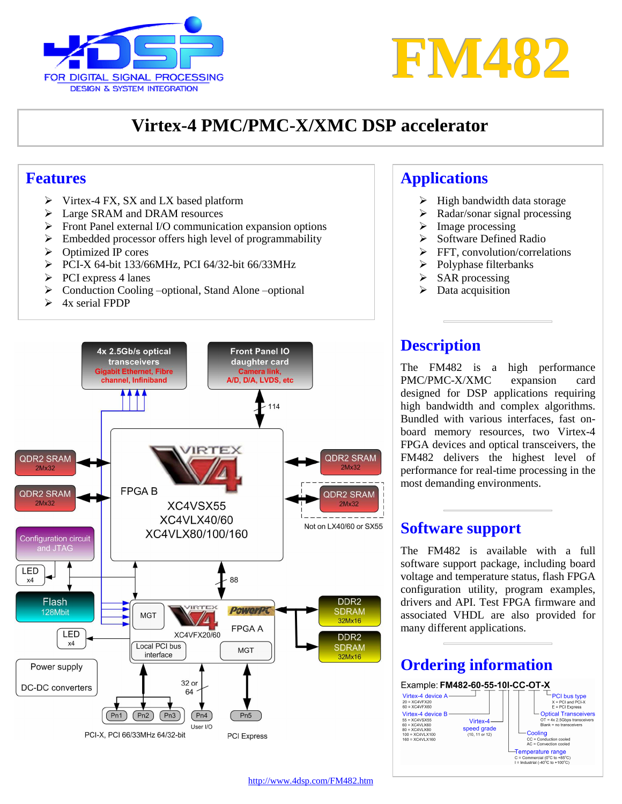



# **Virtex-4 PMC/PMC-X/XMC DSP accelerator**

#### **Features**

- $\triangleright$  Virtex-4 FX, SX and LX based platform
- Large SRAM and DRAM resources
- Front Panel external I/O communication expansion options
- $\triangleright$  Embedded processor offers high level of programmability
- $\triangleright$  Optimized IP cores
- PCI-X 64-bit 133/66MHz, PCI 64/32-bit 66/33MHz
- $\triangleright$  PCI express 4 lanes
- $\triangleright$  Conduction Cooling –optional, Stand Alone –optional
- $\triangleright$  4x serial FPDP



#### **Applications**

- $\triangleright$  High bandwidth data storage
- $\triangleright$  Radar/sonar signal processing
- $\triangleright$  Image processing
- $\triangleright$  Software Defined Radio
- $\triangleright$  FFT, convolution/correlations
- $\triangleright$  Polyphase filterbanks
- $\triangleright$  SAR processing
- $\triangleright$  Data acquisition

#### **Description**

The FM482 is a high performance PMC/PMC-X/XMC expansion card designed for DSP applications requiring high bandwidth and complex algorithms. Bundled with various interfaces, fast on board memory resources, two Virtex-4 FPGA devices and optical transceivers, the FM482 delivers the highest level of performance for real-time processing in the most demanding environments.

#### **Software support**

The FM482 is available with a full software support package, including board voltage and temperature status, flash FPGA configuration utility, program examples, drivers and API. Test FPGA firmware and associated VHDL are also provided for many different applications.

#### **Ordering information**